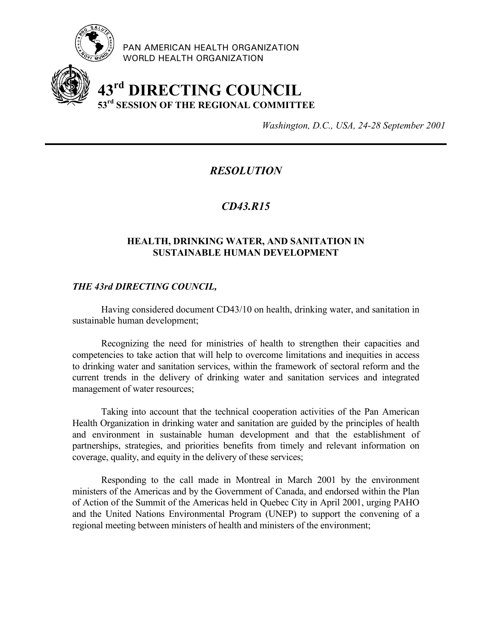

PAN AMERICAN HEALTH ORGANIZATION WORLD HEALTH ORGANIZATION

# **43rd DIRECTING COUNCIL 53rd SESSION OF THE REGIONAL COMMITTEE**

*Washington, D.C., USA, 24-28 September 2001*

## *RESOLUTION*

## *CD43.R15*

#### **HEALTH, DRINKING WATER, AND SANITATION IN SUSTAINABLE HUMAN DEVELOPMENT**

#### *THE 43rd DIRECTING COUNCIL,*

Having considered document CD43/10 on health, drinking water, and sanitation in sustainable human development;

Recognizing the need for ministries of health to strengthen their capacities and competencies to take action that will help to overcome limitations and inequities in access to drinking water and sanitation services, within the framework of sectoral reform and the current trends in the delivery of drinking water and sanitation services and integrated management of water resources;

Taking into account that the technical cooperation activities of the Pan American Health Organization in drinking water and sanitation are guided by the principles of health and environment in sustainable human development and that the establishment of partnerships, strategies, and priorities benefits from timely and relevant information on coverage, quality, and equity in the delivery of these services;

Responding to the call made in Montreal in March 2001 by the environment ministers of the Americas and by the Government of Canada, and endorsed within the Plan of Action of the Summit of the Americas held in Quebec City in April 2001, urging PAHO and the United Nations Environmental Program (UNEP) to support the convening of a regional meeting between ministers of health and ministers of the environment;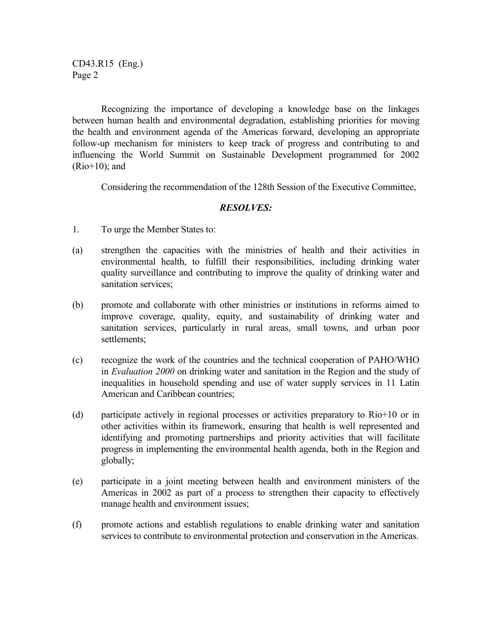CD43.R15 (Eng.) Page 2

Recognizing the importance of developing a knowledge base on the linkages between human health and environmental degradation, establishing priorities for moving the health and environment agenda of the Americas forward, developing an appropriate follow-up mechanism for ministers to keep track of progress and contributing to and influencing the World Summit on Sustainable Development programmed for 2002  $(Rio+10)$ ; and

Considering the recommendation of the 128th Session of the Executive Committee,

### *RESOLVES:*

- 1. To urge the Member States to:
- (a) strengthen the capacities with the ministries of health and their activities in environmental health, to fulfill their responsibilities, including drinking water quality surveillance and contributing to improve the quality of drinking water and sanitation services;
- (b) promote and collaborate with other ministries or institutions in reforms aimed to improve coverage, quality, equity, and sustainability of drinking water and sanitation services, particularly in rural areas, small towns, and urban poor settlements;
- (c) recognize the work of the countries and the technical cooperation of PAHO/WHO in *Evaluation 2000* on drinking water and sanitation in the Region and the study of inequalities in household spending and use of water supply services in 11 Latin American and Caribbean countries;
- (d) participate actively in regional processes or activities preparatory to Rio+10 or in other activities within its framework, ensuring that health is well represented and identifying and promoting partnerships and priority activities that will facilitate progress in implementing the environmental health agenda, both in the Region and globally;
- (e) participate in a joint meeting between health and environment ministers of the Americas in 2002 as part of a process to strengthen their capacity to effectively manage health and environment issues;
- (f) promote actions and establish regulations to enable drinking water and sanitation services to contribute to environmental protection and conservation in the Americas.